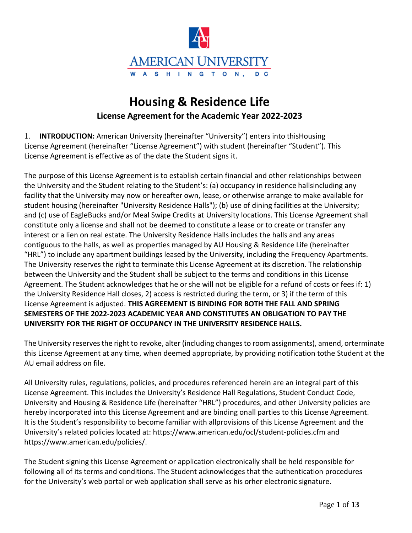

# **Housing & Residence Life License Agreement for the Academic Year 2022-2023**

1. **INTRODUCTION:** American University (hereinafter "University") enters into thisHousing License Agreement (hereinafter "License Agreement") with student (hereinafter "Student"). This License Agreement is effective as of the date the Student signs it.

The purpose of this License Agreement is to establish certain financial and other relationships between the University and the Student relating to the Student's: (a) occupancy in residence hallsincluding any facility that the University may now or hereafter own, lease, or otherwise arrange to make available for student housing (hereinafter "University Residence Halls"); (b) use of dining facilities at the University; and (c) use of EagleBucks and/or Meal Swipe Credits at University locations. This License Agreement shall constitute only a license and shall not be deemed to constitute a lease or to create or transfer any interest or a lien on real estate. The University Residence Halls includes the halls and any areas contiguous to the halls, as well as properties managed by AU Housing & Residence Life (hereinafter "HRL") to include any apartment buildings leased by the University, including the Frequency Apartments. The University reserves the right to terminate this License Agreement at its discretion. The relationship between the University and the Student shall be subject to the terms and conditions in this License Agreement. The Student acknowledges that he or she will not be eligible for a refund of costs or fees if: 1) the University Residence Hall closes, 2) access is restricted during the term, or 3) if the term of this License Agreement is adjusted. **THIS AGREEMENT IS BINDING FOR BOTH THE FALL AND SPRING SEMESTERS OF THE 2022-2023 ACADEMIC YEAR AND CONSTITUTES AN OBLIGATION TO PAY THE UNIVERSITY FOR THE RIGHT OF OCCUPANCY IN THE UNIVERSITY RESIDENCE HALLS.**

The University reservesthe right to revoke, alter (including changesto room assignments), amend, orterminate this License Agreement at any time, when deemed appropriate, by providing notification tothe Student at the AU email address on file.

All University rules, regulations, policies, and procedures referenced herein are an integral part of this License Agreement. This includes the University's Residence Hall Regulations, Student Conduct Code, University and Housing & Residence Life (hereinafter "HRL") procedures, and other University policies are hereby incorporated into this License Agreement and are binding onall parties to this License Agreement. It is the Student's responsibility to become familiar with allprovisions of this License Agreement and the University's related policies located at: https:/[/www.american.edu/ocl/student-policies.cfm a](http://www.american.edu/ocl/student-policies.cfm)nd https:/[/www.american.edu/policies/.](http://www.american.edu/policies/)

The Student signing this License Agreement or application electronically shall be held responsible for following all of its terms and conditions. The Student acknowledges that the authentication procedures for the University's web portal or web application shall serve as his orher electronic signature.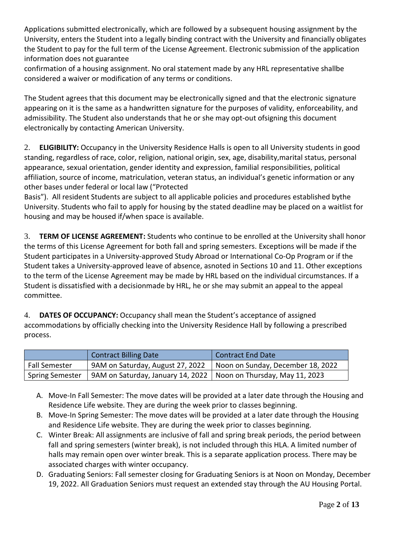Applications submitted electronically, which are followed by a subsequent housing assignment by the University, enters the Student into a legally binding contract with the University and financially obligates the Student to pay for the full term of the License Agreement. Electronic submission of the application information does not guarantee

confirmation of a housing assignment. No oral statement made by any HRL representative shallbe considered a waiver or modification of any terms or conditions.

The Student agrees that this document may be electronically signed and that the electronic signature appearing on it is the same as a handwritten signature for the purposes of validity, enforceability, and admissibility. The Student also understands that he or she may opt-out ofsigning this document electronically by contacting American University.

2. **ELIGIBILITY:** Occupancy in the University Residence Halls is open to all University students in good standing, regardless of race, color, religion, national origin, sex, age, disability,marital status, personal appearance, sexual orientation, gender identity and expression, familial responsibilities, political affiliation, source of income, matriculation, veteran status, an individual's genetic information or any other bases under federal or local law ("Protected

Basis"). All resident Students are subject to all applicable policies and procedures established bythe University. Students who fail to apply for housing by the stated deadline may be placed on a waitlist for housing and may be housed if/when space is available.

3. **TERM OF LICENSE AGREEMENT:** Students who continue to be enrolled at the University shall honor the terms of this License Agreement for both fall and spring semesters. Exceptions will be made if the Student participates in a University-approved Study Abroad or International Co-Op Program or if the Student takes a University-approved leave of absence, asnoted in Sections 10 and 11. Other exceptions to the term of the License Agreement may be made by HRL based on the individual circumstances. If a Student is dissatisfied with a decisionmade by HRL, he or she may submit an appeal to the appeal committee.

4. **DATES OF OCCUPANCY:** Occupancy shall mean the Student's acceptance of assigned accommodations by officially checking into the University Residence Hall by following a prescribed process.

|                        | <b>Contract Billing Date</b>                                       | <b>Contract End Date</b>          |
|------------------------|--------------------------------------------------------------------|-----------------------------------|
| Fall Semester          | 9AM on Saturday, August 27, 2022                                   | Noon on Sunday, December 18, 2022 |
| <b>Spring Semester</b> | 9AM on Saturday, January 14, 2022   Noon on Thursday, May 11, 2023 |                                   |

- A. Move-In Fall Semester: The move dates will be provided at a later date through the Housing and Residence Life website. They are during the week prior to classes beginning.
- B. Move-In Spring Semester: The move dates will be provided at a later date through the Housing and Residence Life website. They are during the week prior to classes beginning.
- C. Winter Break: All assignments are inclusive of fall and spring break periods, the period between fall and spring semesters (winter break), is not included through this HLA. A limited number of halls may remain open over winter break. This is a separate application process. There may be associated charges with winter occupancy.
- D. Graduating Seniors: Fall semester closing for Graduating Seniors is at Noon on Monday, December 19, 2022. All Graduation Seniors must request an extended stay through the AU Housing Portal.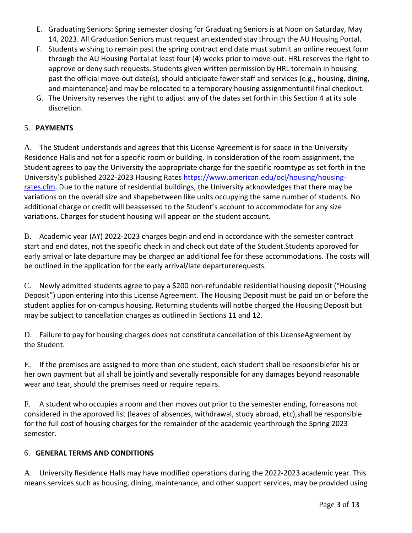- E. Graduating Seniors: Spring semester closing for Graduating Seniors is at Noon on Saturday, May 14, 2023. All Graduation Seniors must request an extended stay through the AU Housing Portal.
- F. Students wishing to remain past the spring contract end date must submit an online request form through the AU Housing Portal at least four (4) weeks prior to move-out. HRL reserves the right to approve or deny such requests. Students given written permission by HRL toremain in housing past the official move-out date(s), should anticipate fewer staff and services (e.g., housing, dining, and maintenance) and may be relocated to a temporary housing assignmentuntil final checkout.
- G. The University reserves the right to adjust any of the dates set forth in this Section 4 at its sole discretion.

# 5. **PAYMENTS**

A. The Student understands and agrees that this License Agreement is for space in the University Residence Halls and not for a specific room or building. In consideration of the room assignment, the Student agrees to pay the University the appropriate charge for the specific roomtype as set forth in the University's published 2022-2023 Housing Rates [https://www.american.edu/ocl/housing/housing](https://www.american.edu/ocl/housing/housing-rates.cfm)[rates.cfm.](https://www.american.edu/ocl/housing/housing-rates.cfm) Due to the nature of residential buildings, the University acknowledges that there may be variations on the overall size and shapebetween like units occupying the same number of students. No additional charge or credit will beassessed to the Student's account to accommodate for any size variations. Charges for student housing will appear on the student account.

B. Academic year (AY) 2022-2023 charges begin and end in accordance with the semester contract start and end dates, not the specific check in and check out date of the Student.Students approved for early arrival or late departure may be charged an additional fee for these accommodations. The costs will be outlined in the application for the early arrival/late departurerequests.

C. Newly admitted students agree to pay a \$200 non-refundable residential housing deposit ("Housing Deposit") upon entering into this License Agreement. The Housing Deposit must be paid on or before the student applies for on-campus housing. Returning students will notbe charged the Housing Deposit but may be subject to cancellation charges as outlined in Sections 11 and 12.

D. Failure to pay for housing charges does not constitute cancellation of this LicenseAgreement by the Student.

E. If the premises are assigned to more than one student, each student shall be responsiblefor his or her own payment but all shall be jointly and severally responsible for any damages beyond reasonable wear and tear, should the premises need or require repairs.

F. A student who occupies a room and then moves out prior to the semester ending, forreasons not considered in the approved list (leaves of absences, withdrawal, study abroad, etc),shall be responsible for the full cost of housing charges for the remainder of the academic yearthrough the Spring 2023 semester.

## 6. **GENERAL TERMS AND CONDITIONS**

A. University Residence Halls may have modified operations during the 2022-2023 academic year. This means services such as housing, dining, maintenance, and other support services, may be provided using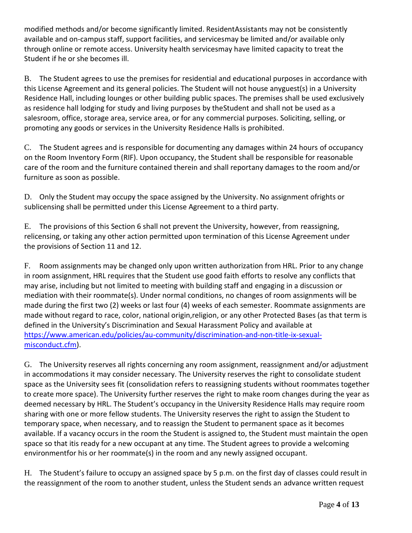modified methods and/or become significantly limited. ResidentAssistants may not be consistently available and on-campus staff, support facilities, and servicesmay be limited and/or available only through online or remote access. University health servicesmay have limited capacity to treat the Student if he or she becomes ill.

B. The Student agrees to use the premises for residential and educational purposes in accordance with this License Agreement and its general policies. The Student will not house anyguest(s) in a University Residence Hall, including lounges or other building public spaces. The premises shall be used exclusively as residence hall lodging for study and living purposes by theStudent and shall not be used as a salesroom, office, storage area, service area, or for any commercial purposes. Soliciting, selling, or promoting any goods or services in the University Residence Halls is prohibited.

C. The Student agrees and is responsible for documenting any damages within 24 hours of occupancy on the Room Inventory Form (RIF). Upon occupancy, the Student shall be responsible for reasonable care of the room and the furniture contained therein and shall reportany damages to the room and/or furniture as soon as possible.

D. Only the Student may occupy the space assigned by the University. No assignment ofrights or sublicensing shall be permitted under this License Agreement to a third party.

E. The provisions of this Section 6 shall not prevent the University, however, from reassigning, relicensing, or taking any other action permitted upon termination of this License Agreement under the provisions of Section 11 and 12.

F. Room assignments may be changed only upon written authorization from HRL. Prior to any change in room assignment, HRL requires that the Student use good faith efforts to resolve any conflicts that may arise, including but not limited to meeting with building staff and engaging in a discussion or mediation with their roommate(s). Under normal conditions, no changes of room assignments will be made during the first two (2) weeks or last four (4) weeks of each semester. Roommate assignments are made without regard to race, color, national origin,religion, or any other Protected Bases (as that term is defined in the University's Discrimination and Sexual Harassment Policy and available at [https://www.american.edu/policies/au-community/discrimination-and-non-title-ix-sexual](https://www.american.edu/policies/au-community/discrimination-and-non-title-ix-sexual-misconduct.cfm)[misconduct.cfm\)](https://www.american.edu/policies/au-community/discrimination-and-non-title-ix-sexual-misconduct.cfm).

G. The University reserves all rights concerning any room assignment, reassignment and/or adjustment in accommodations it may consider necessary. The University reserves the right to consolidate student space as the University sees fit (consolidation refers to reassigning students without roommates together to create more space). The University further reserves the right to make room changes during the year as deemed necessary by HRL. The Student's occupancy in the University Residence Halls may require room sharing with one or more fellow students. The University reserves the right to assign the Student to temporary space, when necessary, and to reassign the Student to permanent space as it becomes available. If a vacancy occurs in the room the Student is assigned to, the Student must maintain the open space so that itis ready for a new occupant at any time. The Student agrees to provide a welcoming environmentfor his or her roommate(s) in the room and any newly assigned occupant.

H. The Student's failure to occupy an assigned space by 5 p.m. on the first day of classes could result in the reassignment of the room to another student, unless the Student sends an advance written request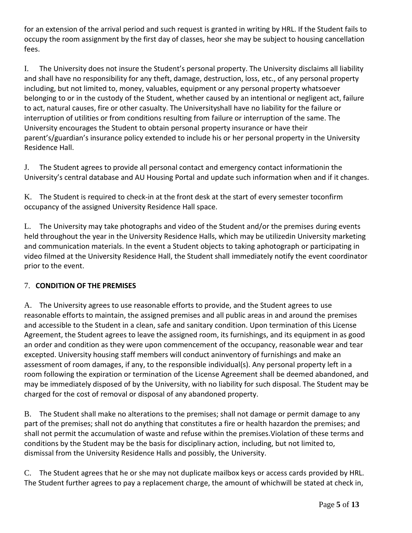for an extension of the arrival period and such request is granted in writing by HRL. If the Student fails to occupy the room assignment by the first day of classes, heor she may be subject to housing cancellation fees.

I. The University does not insure the Student's personal property. The University disclaims all liability and shall have no responsibility for any theft, damage, destruction, loss, etc., of any personal property including, but not limited to, money, valuables, equipment or any personal property whatsoever belonging to or in the custody of the Student, whether caused by an intentional or negligent act, failure to act, natural causes, fire or other casualty. The Universityshall have no liability for the failure or interruption of utilities or from conditions resulting from failure or interruption of the same. The University encourages the Student to obtain personal property insurance or have their parent's/guardian's insurance policy extended to include his or her personal property in the University Residence Hall.

J. The Student agrees to provide all personal contact and emergency contact informationin the University's central database and AU Housing Portal and update such information when and if it changes.

K. The Student is required to check-in at the front desk at the start of every semester toconfirm occupancy of the assigned University Residence Hall space.

L. The University may take photographs and video of the Student and/or the premises during events held throughout the year in the University Residence Halls, which may be utilizedin University marketing and communication materials. In the event a Student objects to taking aphotograph or participating in video filmed at the University Residence Hall, the Student shall immediately notify the event coordinator prior to the event.

# 7. **CONDITION OF THE PREMISES**

A. The University agrees to use reasonable efforts to provide, and the Student agrees to use reasonable efforts to maintain, the assigned premises and all public areas in and around the premises and accessible to the Student in a clean, safe and sanitary condition. Upon termination of this License Agreement, the Student agrees to leave the assigned room, its furnishings, and its equipment in as good an order and condition as they were upon commencement of the occupancy, reasonable wear and tear excepted. University housing staff members will conduct aninventory of furnishings and make an assessment of room damages, if any, to the responsible individual(s). Any personal property left in a room following the expiration or termination of the License Agreement shall be deemed abandoned, and may be immediately disposed of by the University, with no liability for such disposal. The Student may be charged for the cost of removal or disposal of any abandoned property.

B. The Student shall make no alterations to the premises; shall not damage or permit damage to any part of the premises; shall not do anything that constitutes a fire or health hazardon the premises; and shall not permit the accumulation of waste and refuse within the premises.Violation of these terms and conditions by the Student may be the basis for disciplinary action, including, but not limited to, dismissal from the University Residence Halls and possibly, the University.

C. The Student agrees that he or she may not duplicate mailbox keys or access cards provided by HRL. The Student further agrees to pay a replacement charge, the amount of whichwill be stated at check in,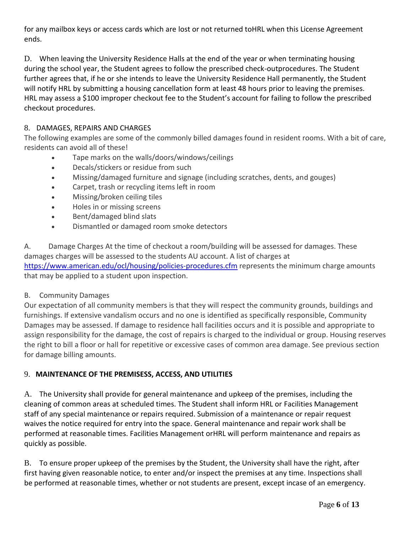for any mailbox keys or access cards which are lost or not returned toHRL when this License Agreement ends.

D. When leaving the University Residence Halls at the end of the year or when terminating housing during the school year, the Student agrees to follow the prescribed check-outprocedures. The Student further agrees that, if he or she intends to leave the University Residence Hall permanently, the Student will notify HRL by submitting a housing cancellation form at least 48 hours prior to leaving the premises. HRL may assess a \$100 improper checkout fee to the Student's account for failing to follow the prescribed checkout procedures.

## 8. DAMAGES, REPAIRS AND CHARGES

The following examples are some of the commonly billed damages found in resident rooms. With a bit of care, residents can avoid all of these!

- Tape marks on the walls/doors/windows/ceilings
- Decals/stickers or residue from such
- Missing/damaged furniture and signage (including scratches, dents, and gouges)
- Carpet, trash or recycling items left in room
- Missing/broken ceiling tiles
- Holes in or missing screens
- Bent/damaged blind slats
- Dismantled or damaged room smoke detectors

A. Damage Charges At the time of checkout a room/building will be assessed for damages. These damages charges will be assessed to the students AU account. A list of charges at <https://www.american.edu/ocl/housing/policies-procedures.cfm> represents the minimum charge amounts that may be applied to a student upon inspection.

#### B. Community Damages

Our expectation of all community members is that they will respect the community grounds, buildings and furnishings. If extensive vandalism occurs and no one is identified as specifically responsible, Community Damages may be assessed. If damage to residence hall facilities occurs and it is possible and appropriate to assign responsibility for the damage, the cost of repairs is charged to the individual or group. Housing reserves the right to bill a floor or hall for repetitive or excessive cases of common area damage. See previous section for damage billing amounts.

## 9. **MAINTENANCE OF THE PREMISESS, ACCESS, AND UTILITIES**

A. The University shall provide for general maintenance and upkeep of the premises, including the cleaning of common areas at scheduled times. The Student shall inform HRL or Facilities Management staff of any special maintenance or repairs required. Submission of a maintenance or repair request waives the notice required for entry into the space. General maintenance and repair work shall be performed at reasonable times. Facilities Management orHRL will perform maintenance and repairs as quickly as possible.

B. To ensure proper upkeep of the premises by the Student, the University shall have the right, after first having given reasonable notice, to enter and/or inspect the premises at any time. Inspections shall be performed at reasonable times, whether or not students are present, except incase of an emergency.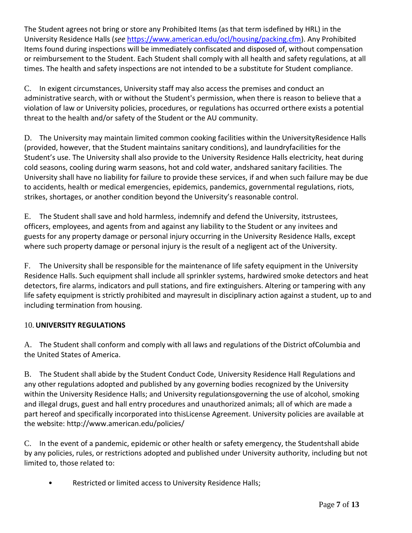The Student agrees not bring or store any Prohibited Items (as that term isdefined by HRL) in the University Residence Halls (*see* [https://www.american.edu/ocl/housing/packing.cfm\)](https://www.american.edu/ocl/housing/packing.cfm). Any Prohibited Items found during inspections will be immediately confiscated and disposed of, without compensation or reimbursement to the Student. Each Student shall comply with all health and safety regulations, at all times. The health and safety inspections are not intended to be a substitute for Student compliance.

C. In exigent circumstances, University staff may also access the premises and conduct an administrative search, with or without the Student's permission, when there is reason to believe that a violation of law or University policies, procedures, or regulations has occurred orthere exists a potential threat to the health and/or safety of the Student or the AU community.

D. The University may maintain limited common cooking facilities within the UniversityResidence Halls (provided, however, that the Student maintains sanitary conditions), and laundryfacilities for the Student's use. The University shall also provide to the University Residence Halls electricity, heat during cold seasons, cooling during warm seasons, hot and cold water, andshared sanitary facilities. The University shall have no liability for failure to provide these services, if and when such failure may be due to accidents, health or medical emergencies, epidemics, pandemics, governmental regulations, riots, strikes, shortages, or another condition beyond the University's reasonable control.

E. The Student shall save and hold harmless, indemnify and defend the University, itstrustees, officers, employees, and agents from and against any liability to the Student or any invitees and guests for any property damage or personal injury occurring in the University Residence Halls, except where such property damage or personal injury is the result of a negligent act of the University.

F. The University shall be responsible for the maintenance of life safety equipment in the University Residence Halls. Such equipment shall include all sprinkler systems, hardwired smoke detectors and heat detectors, fire alarms, indicators and pull stations, and fire extinguishers. Altering or tampering with any life safety equipment is strictly prohibited and mayresult in disciplinary action against a student, up to and including termination from housing.

## 10. **UNIVERSITY REGULATIONS**

A. The Student shall conform and comply with all laws and regulations of the District ofColumbia and the United States of America.

B. The Student shall abide by the Student Conduct Code, University Residence Hall Regulations and any other regulations adopted and published by any governing bodies recognized by the University within the University Residence Halls; and University regulationsgoverning the use of alcohol, smoking and illegal drugs, guest and hall entry procedures and unauthorized animals; all of which are made a part hereof and specifically incorporated into thisLicense Agreement. University policies are available at the website: <http://www.american.edu/policies/>

C. In the event of a pandemic, epidemic or other health or safety emergency, the Studentshall abide by any policies, rules, or restrictions adopted and published under University authority, including but not limited to, those related to:

• Restricted or limited access to University Residence Halls;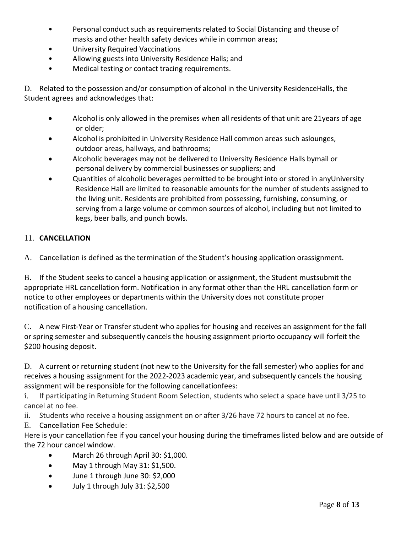- Personal conduct such as requirements related to Social Distancing and theuse of masks and other health safety devices while in common areas;
- University Required Vaccinations
- Allowing guests into University Residence Halls; and
- Medical testing or contact tracing requirements.

D. Related to the possession and/or consumption of alcohol in the University ResidenceHalls, the Student agrees and acknowledges that:

- Alcohol is only allowed in the premises when all residents of that unit are 21years of age or older;
- Alcohol is prohibited in University Residence Hall common areas such aslounges, outdoor areas, hallways, and bathrooms;
- Alcoholic beverages may not be delivered to University Residence Halls bymail or personal delivery by commercial businesses or suppliers; and
- Quantities of alcoholic beverages permitted to be brought into or stored in anyUniversity Residence Hall are limited to reasonable amounts for the number of students assigned to the living unit. Residents are prohibited from possessing, furnishing, consuming, or serving from a large volume or common sources of alcohol, including but not limited to kegs, beer balls, and punch bowls.

#### 11. **CANCELLATION**

A. Cancellation is defined as the termination of the Student's housing application orassignment.

B. If the Student seeks to cancel a housing application or assignment, the Student mustsubmit the appropriate HRL cancellation form. Notification in any format other than the HRL cancellation form or notice to other employees or departments within the University does not constitute proper notification of a housing cancellation.

C. A new First-Year or Transfer student who applies for housing and receives an assignment for the fall or spring semester and subsequently cancels the housing assignment priorto occupancy will forfeit the \$200 housing deposit.

D. A current or returning student (not new to the University for the fall semester) who applies for and receives a housing assignment for the 2022-2023 academic year, and subsequently cancels the housing assignment will be responsible for the following cancellationfees:

i. If participating in Returning Student Room Selection, students who select a space have until 3/25 to cancel at no fee.

ii. Students who receive a housing assignment on or after 3/26 have 72 hours to cancel at no fee.

E. Cancellation Fee Schedule:

Here is your cancellation fee if you cancel your housing during the timeframes listed below and are outside of the 72 hour cancel window.

- March 26 through April 30: \$1,000.
- May 1 through May 31: \$1,500.
- June 1 through June 30: \$2,000
- July 1 through July 31: \$2,500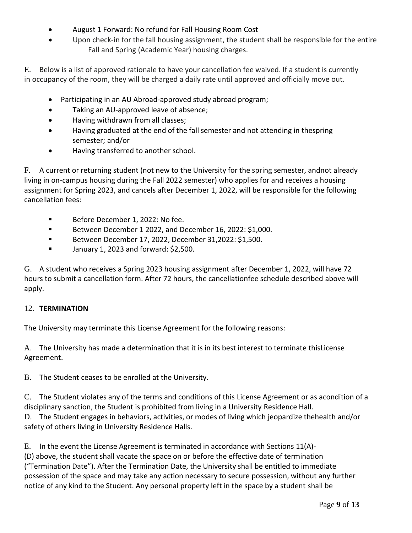- August 1 Forward: No refund for Fall Housing Room Cost
- Upon check-in for the fall housing assignment, the student shall be responsible for the entire Fall and Spring (Academic Year) housing charges.

E. Below is a list of approved rationale to have your cancellation fee waived. If a student is currently in occupancy of the room, they will be charged a daily rate until approved and officially move out.

- Participating in an AU Abroad-approved study abroad program;
- Taking an AU-approved leave of absence;
- Having withdrawn from all classes;
- Having graduated at the end of the fall semester and not attending in thespring semester; and/or
- Having transferred to another school.

F. A current or returning student (not new to the University for the spring semester, andnot already living in on-campus housing during the Fall 2022 semester) who applies for and receives a housing assignment for Spring 2023, and cancels after December 1, 2022, will be responsible for the following cancellation fees:

- Before December 1, 2022: No fee.
- Between December 1 2022, and December 16, 2022: \$1,000.
- Between December 17, 2022, December 31,2022: \$1,500.
- **■** January 1, 2023 and forward: \$2,500.

G. A student who receives a Spring 2023 housing assignment after December 1, 2022, will have 72 hours to submit a cancellation form. After 72 hours, the cancellationfee schedule described above will apply.

#### 12. **TERMINATION**

The University may terminate this License Agreement for the following reasons:

A. The University has made a determination that it is in its best interest to terminate thisLicense Agreement.

B. The Student ceases to be enrolled at the University.

C. The Student violates any of the terms and conditions of this License Agreement or as acondition of a disciplinary sanction, the Student is prohibited from living in a University Residence Hall. D. The Student engages in behaviors, activities, or modes of living which jeopardize thehealth and/or safety of others living in University Residence Halls.

E. In the event the License Agreement is terminated in accordance with Sections 11(A)- (D) above, the student shall vacate the space on or before the effective date of termination ("Termination Date"). After the Termination Date, the University shall be entitled to immediate possession of the space and may take any action necessary to secure possession, without any further notice of any kind to the Student. Any personal property left in the space by a student shall be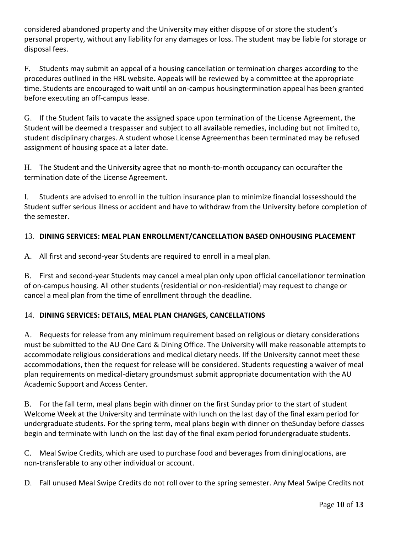considered abandoned property and the University may either dispose of or store the student's personal property, without any liability for any damages or loss. The student may be liable for storage or disposal fees.

F. Students may submit an appeal of a housing cancellation or termination charges according to the procedures outlined in the HRL website. Appeals will be reviewed by a committee at the appropriate time. Students are encouraged to wait until an on-campus housingtermination appeal has been granted before executing an off-campus lease.

G. If the Student fails to vacate the assigned space upon termination of the License Agreement, the Student will be deemed a trespasser and subject to all available remedies, including but not limited to, student disciplinary charges. A student whose License Agreementhas been terminated may be refused assignment of housing space at a later date.

H. The Student and the University agree that no month-to-month occupancy can occurafter the termination date of the License Agreement.

I. Students are advised to enroll in the tuition insurance plan to minimize financial lossesshould the Student suffer serious illness or accident and have to withdraw from the University before completion of the semester.

# 13. **DINING SERVICES: MEAL PLAN ENROLLMENT/CANCELLATION BASED ONHOUSING PLACEMENT**

A. All first and second-year Students are required to enroll in a meal plan.

B. First and second-year Students may cancel a meal plan only upon official cancellationor termination of on-campus housing. All other students (residential or non-residential) may request to change or cancel a meal plan from the time of enrollment through the deadline.

## 14. **DINING SERVICES: DETAILS, MEAL PLAN CHANGES, CANCELLATIONS**

A. Requests for release from any minimum requirement based on religious or dietary considerations must be submitted to the AU One Card & Dining Office. The University will make reasonable attempts to accommodate religious considerations and medical dietary needs. IIf the University cannot meet these accommodations, then the request for release will be considered. Students requesting a waiver of meal plan requirements on medical-dietary groundsmust submit appropriate documentation with the AU Academic Support and Access Center.

B. For the fall term, meal plans begin with dinner on the first Sunday prior to the start of student Welcome Week at the University and terminate with lunch on the last day of the final exam period for undergraduate students. For the spring term, meal plans begin with dinner on theSunday before classes begin and terminate with lunch on the last day of the final exam period forundergraduate students.

C. Meal Swipe Credits, which are used to purchase food and beverages from dininglocations, are non-transferable to any other individual or account.

D. Fall unused Meal Swipe Credits do not roll over to the spring semester. Any Meal Swipe Credits not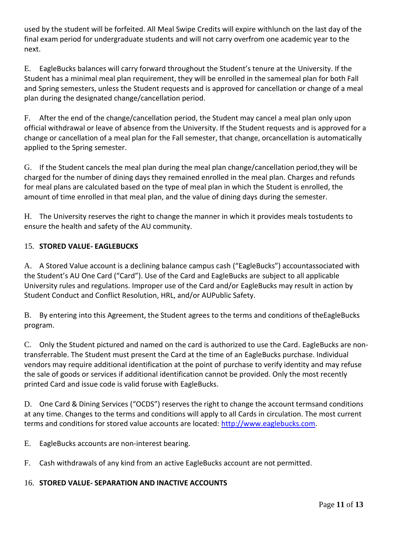used by the student will be forfeited. All Meal Swipe Credits will expire withlunch on the last day of the final exam period for undergraduate students and will not carry overfrom one academic year to the next.

E. EagleBucks balances will carry forward throughout the Student's tenure at the University. If the Student has a minimal meal plan requirement, they will be enrolled in the samemeal plan for both Fall and Spring semesters, unless the Student requests and is approved for cancellation or change of a meal plan during the designated change/cancellation period.

F. After the end of the change/cancellation period, the Student may cancel a meal plan only upon official withdrawal or leave of absence from the University. If the Student requests and is approved for a change or cancellation of a meal plan for the Fall semester, that change, orcancellation is automatically applied to the Spring semester.

G. If the Student cancels the meal plan during the meal plan change/cancellation period,they will be charged for the number of dining days they remained enrolled in the meal plan. Charges and refunds for meal plans are calculated based on the type of meal plan in which the Student is enrolled, the amount of time enrolled in that meal plan, and the value of dining days during the semester.

H. The University reserves the right to change the manner in which it provides meals tostudents to ensure the health and safety of the AU community.

## 15. **STORED VALUE- EAGLEBUCKS**

A. A Stored Value account is a declining balance campus cash ("EagleBucks") accountassociated with the Student's AU One Card ("Card"). Use of the Card and EagleBucks are subject to all applicable University rules and regulations. Improper use of the Card and/or EagleBucks may result in action by Student Conduct and Conflict Resolution, HRL, and/or AUPublic Safety.

B. By entering into this Agreement, the Student agrees to the terms and conditions of theEagleBucks program.

C. Only the Student pictured and named on the card is authorized to use the Card. EagleBucks are nontransferrable. The Student must present the Card at the time of an EagleBucks purchase. Individual vendors may require additional identification at the point of purchase to verify identity and may refuse the sale of goods or services if additional identification cannot be provided. Only the most recently printed Card and issue code is valid foruse with EagleBucks.

D. One Card & Dining Services ("OCDS") reserves the right to change the account termsand conditions at any time. Changes to the terms and conditions will apply to all Cards in circulation. The most current terms and conditions for stored value accounts are located: [http://www.eaglebucks.com.](http://www.eaglebucks.com/)

E. EagleBucks accounts are non-interest bearing.

F. Cash withdrawals of any kind from an active EagleBucks account are not permitted.

## 16. **STORED VALUE- SEPARATION AND INACTIVE ACCOUNTS**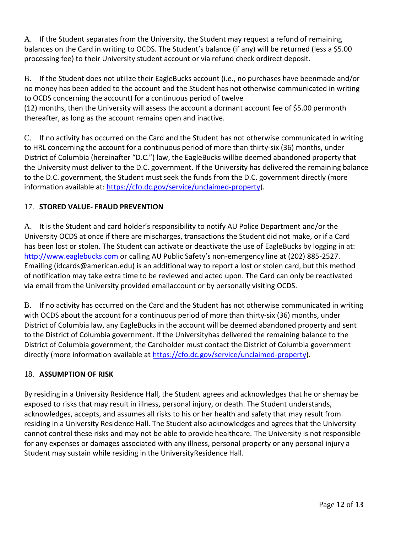A. If the Student separates from the University, the Student may request a refund of remaining balances on the Card in writing to OCDS. The Student's balance (if any) will be returned (less a \$5.00 processing fee) to their University student account or via refund check ordirect deposit.

B. If the Student does not utilize their EagleBucks account (i.e., no purchases have beenmade and/or no money has been added to the account and the Student has not otherwise communicated in writing to OCDS concerning the account) for a continuous period of twelve

(12) months, then the University will assess the account a dormant account fee of \$5.00 permonth thereafter, as long as the account remains open and inactive.

C. If no activity has occurred on the Card and the Student has not otherwise communicated in writing to HRL concerning the account for a continuous period of more than thirty-six (36) months, under District of Columbia (hereinafter "D.C.") law, the EagleBucks willbe deemed abandoned property that the University must deliver to the D.C. government. If the University has delivered the remaining balance to the D.C. government, the Student must seek the funds from the D.C. government directly (more information available at: [https://cfo.dc.gov/service/unclaimed-property\)](https://cfo.dc.gov/service/unclaimed-property).

# 17. **STORED VALUE- FRAUD PREVENTION**

A. It is the Student and card holder's responsibility to notify AU Police Department and/or the University OCDS at once if there are mischarges, transactions the Student did not make, or if a Card has been lost or stolen. The Student can activate or deactivate the use of EagleBucks by logging in at: [http://www.eaglebucks.com](http://www.eaglebucks.com/) or calling AU Public Safety's non-emergency line at (202) 885-2527. Emailing (idcards@american.edu) is an additional way to report a lost or stolen card, but this method of notification may take extra time to be reviewed and acted upon. The Card can only be reactivated via email from the University provided emailaccount or by personally visiting OCDS.

B. If no activity has occurred on the Card and the Student has not otherwise communicated in writing with OCDS about the account for a continuous period of more than thirty-six (36) months, under District of Columbia law, any EagleBucks in the account will be deemed abandoned property and sent to the District of Columbia government. If the Universityhas delivered the remaining balance to the District of Columbia government, the Cardholder must contact the District of Columbia government directly (more information available at [https://cfo.dc.gov/service/unclaimed-property\)](https://cfo.dc.gov/service/unclaimed-property).

# 18. **ASSUMPTION OF RISK**

By residing in a University Residence Hall, the Student agrees and acknowledges that he or shemay be exposed to risks that may result in illness, personal injury, or death. The Student understands, acknowledges, accepts, and assumes all risks to his or her health and safety that may result from residing in a University Residence Hall. The Student also acknowledges and agrees that the University cannot control these risks and may not be able to provide healthcare. The University is not responsible for any expenses or damages associated with any illness, personal property or any personal injury a Student may sustain while residing in the UniversityResidence Hall.